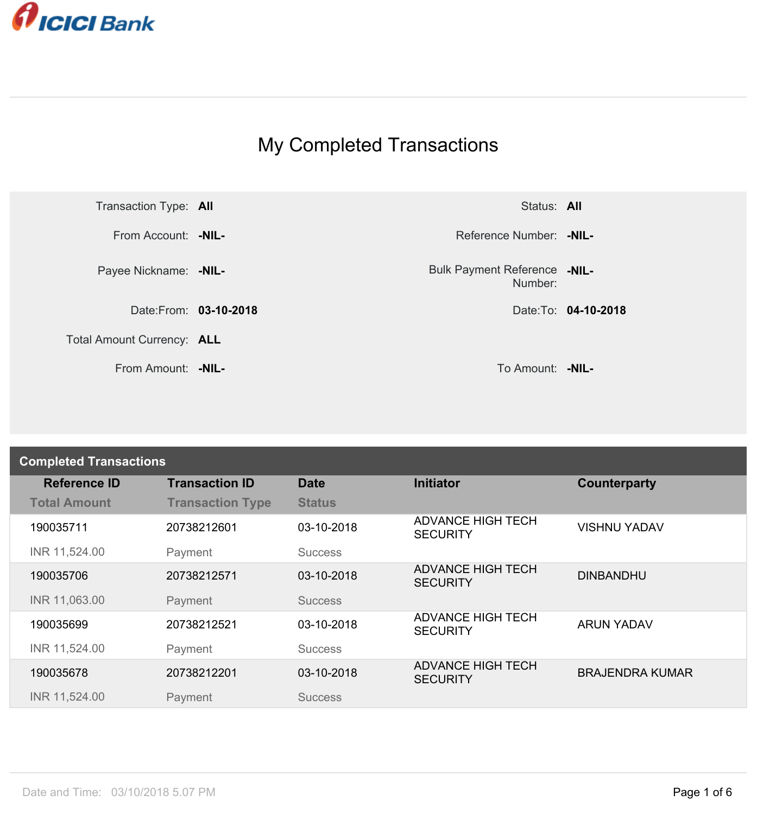

## My Completed Transactions



Number: **-NIL-**

| <b>Completed Transactions</b> |                         |                |                                             |                        |
|-------------------------------|-------------------------|----------------|---------------------------------------------|------------------------|
| <b>Reference ID</b>           | <b>Transaction ID</b>   | <b>Date</b>    | <b>Initiator</b>                            | Counterparty           |
| <b>Total Amount</b>           | <b>Transaction Type</b> | <b>Status</b>  |                                             |                        |
| 190035711                     | 20738212601             | 03-10-2018     | <b>ADVANCE HIGH TECH</b><br><b>SECURITY</b> | <b>VISHNU YADAV</b>    |
| INR 11,524.00                 | Payment                 | <b>Success</b> |                                             |                        |
| 190035706                     | 20738212571             | 03-10-2018     | <b>ADVANCE HIGH TECH</b><br><b>SECURITY</b> | <b>DINBANDHU</b>       |
| INR 11,063.00                 | Payment                 | <b>Success</b> |                                             |                        |
| 190035699                     | 20738212521             | 03-10-2018     | <b>ADVANCE HIGH TECH</b><br><b>SECURITY</b> | <b>ARUN YADAV</b>      |
| INR 11,524.00                 | Payment                 | <b>Success</b> |                                             |                        |
| 190035678                     | 20738212201             | 03-10-2018     | <b>ADVANCE HIGH TECH</b><br><b>SECURITY</b> | <b>BRAJENDRA KUMAR</b> |
| INR 11,524.00                 | Payment                 | <b>Success</b> |                                             |                        |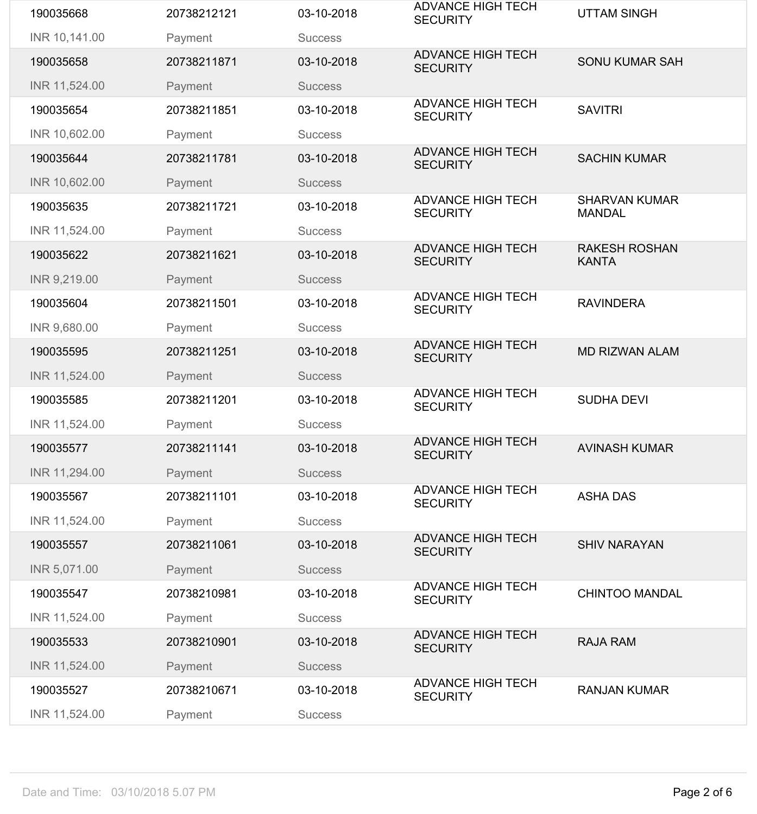| 190035668     | 20738212121 | 03-10-2018     | <b>ADVANCE HIGH TECH</b><br><b>SECURITY</b> | <b>UTTAM SINGH</b>                    |
|---------------|-------------|----------------|---------------------------------------------|---------------------------------------|
| INR 10,141.00 | Payment     | <b>Success</b> |                                             |                                       |
| 190035658     | 20738211871 | 03-10-2018     | <b>ADVANCE HIGH TECH</b><br><b>SECURITY</b> | <b>SONU KUMAR SAH</b>                 |
| INR 11,524.00 | Payment     | <b>Success</b> |                                             |                                       |
| 190035654     | 20738211851 | 03-10-2018     | <b>ADVANCE HIGH TECH</b><br><b>SECURITY</b> | <b>SAVITRI</b>                        |
| INR 10,602.00 | Payment     | <b>Success</b> |                                             |                                       |
| 190035644     | 20738211781 | 03-10-2018     | <b>ADVANCE HIGH TECH</b><br><b>SECURITY</b> | <b>SACHIN KUMAR</b>                   |
| INR 10,602.00 | Payment     | <b>Success</b> |                                             |                                       |
| 190035635     | 20738211721 | 03-10-2018     | <b>ADVANCE HIGH TECH</b><br><b>SECURITY</b> | <b>SHARVAN KUMAR</b><br><b>MANDAL</b> |
| INR 11,524.00 | Payment     | <b>Success</b> |                                             |                                       |
| 190035622     | 20738211621 | 03-10-2018     | <b>ADVANCE HIGH TECH</b><br><b>SECURITY</b> | <b>RAKESH ROSHAN</b><br><b>KANTA</b>  |
| INR 9,219.00  | Payment     | <b>Success</b> |                                             |                                       |
| 190035604     | 20738211501 | 03-10-2018     | <b>ADVANCE HIGH TECH</b><br><b>SECURITY</b> | <b>RAVINDERA</b>                      |
| INR 9,680.00  | Payment     | <b>Success</b> |                                             |                                       |
| 190035595     | 20738211251 | 03-10-2018     | <b>ADVANCE HIGH TECH</b><br><b>SECURITY</b> | <b>MD RIZWAN ALAM</b>                 |
| INR 11,524.00 | Payment     | <b>Success</b> |                                             |                                       |
| 190035585     | 20738211201 | 03-10-2018     | <b>ADVANCE HIGH TECH</b><br><b>SECURITY</b> | <b>SUDHA DEVI</b>                     |
| INR 11,524.00 | Payment     | <b>Success</b> |                                             |                                       |
| 190035577     | 20738211141 | 03-10-2018     | <b>ADVANCE HIGH TECH</b><br><b>SECURITY</b> | <b>AVINASH KUMAR</b>                  |
| INR 11,294.00 | Payment     | <b>Success</b> |                                             |                                       |
| 190035567     | 20738211101 | 03-10-2018     | <b>ADVANCE HIGH TECH</b><br><b>SECURITY</b> | <b>ASHA DAS</b>                       |
| INR 11,524.00 | Payment     | <b>Success</b> |                                             |                                       |
| 190035557     | 20738211061 | 03-10-2018     | <b>ADVANCE HIGH TECH</b><br><b>SECURITY</b> | <b>SHIV NARAYAN</b>                   |
| INR 5,071.00  | Payment     | <b>Success</b> |                                             |                                       |
| 190035547     | 20738210981 | 03-10-2018     | <b>ADVANCE HIGH TECH</b><br><b>SECURITY</b> | <b>CHINTOO MANDAL</b>                 |
| INR 11,524.00 | Payment     | <b>Success</b> |                                             |                                       |
| 190035533     | 20738210901 | 03-10-2018     | <b>ADVANCE HIGH TECH</b><br><b>SECURITY</b> | <b>RAJA RAM</b>                       |
| INR 11,524.00 | Payment     | <b>Success</b> |                                             |                                       |
| 190035527     | 20738210671 | 03-10-2018     | <b>ADVANCE HIGH TECH</b><br><b>SECURITY</b> | <b>RANJAN KUMAR</b>                   |
| INR 11,524.00 | Payment     | <b>Success</b> |                                             |                                       |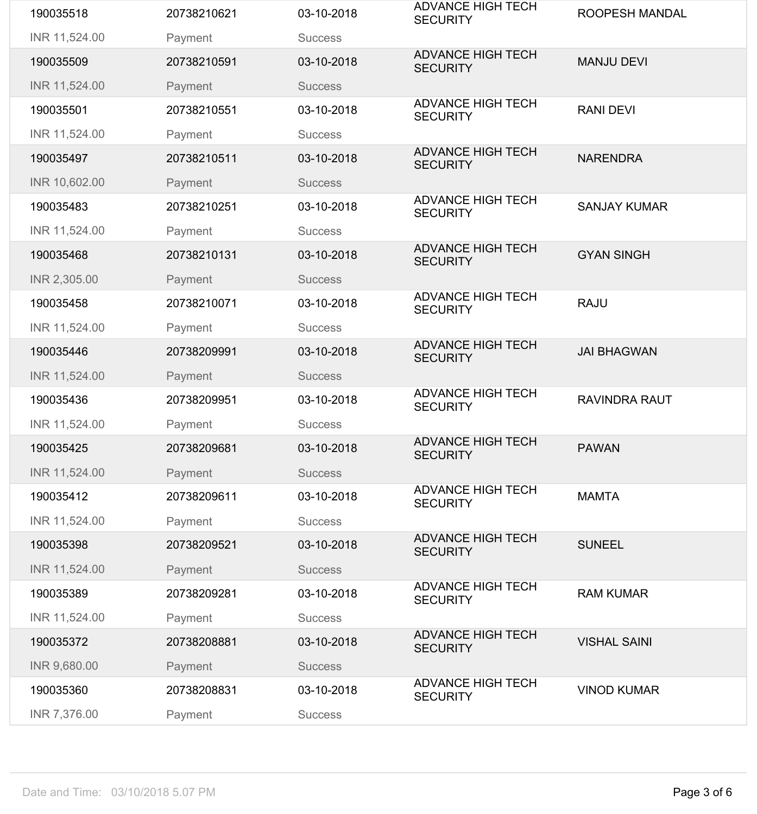| 190035518     | 20738210621 | 03-10-2018     | <b>ADVANCE HIGH TECH</b><br><b>SECURITY</b> | <b>ROOPESH MANDAL</b> |
|---------------|-------------|----------------|---------------------------------------------|-----------------------|
| INR 11,524.00 | Payment     | <b>Success</b> |                                             |                       |
| 190035509     | 20738210591 | 03-10-2018     | <b>ADVANCE HIGH TECH</b><br><b>SECURITY</b> | <b>MANJU DEVI</b>     |
| INR 11,524.00 | Payment     | <b>Success</b> |                                             |                       |
| 190035501     | 20738210551 | 03-10-2018     | <b>ADVANCE HIGH TECH</b><br><b>SECURITY</b> | <b>RANI DEVI</b>      |
| INR 11,524.00 | Payment     | <b>Success</b> |                                             |                       |
| 190035497     | 20738210511 | 03-10-2018     | <b>ADVANCE HIGH TECH</b><br><b>SECURITY</b> | <b>NARENDRA</b>       |
| INR 10,602.00 | Payment     | <b>Success</b> |                                             |                       |
| 190035483     | 20738210251 | 03-10-2018     | <b>ADVANCE HIGH TECH</b><br><b>SECURITY</b> | <b>SANJAY KUMAR</b>   |
| INR 11,524.00 | Payment     | <b>Success</b> |                                             |                       |
| 190035468     | 20738210131 | 03-10-2018     | <b>ADVANCE HIGH TECH</b><br><b>SECURITY</b> | <b>GYAN SINGH</b>     |
| INR 2,305.00  | Payment     | <b>Success</b> |                                             |                       |
| 190035458     | 20738210071 | 03-10-2018     | <b>ADVANCE HIGH TECH</b><br><b>SECURITY</b> | <b>RAJU</b>           |
| INR 11,524.00 | Payment     | <b>Success</b> |                                             |                       |
| 190035446     | 20738209991 | 03-10-2018     | <b>ADVANCE HIGH TECH</b><br><b>SECURITY</b> | <b>JAI BHAGWAN</b>    |
| INR 11,524.00 | Payment     | <b>Success</b> |                                             |                       |
| 190035436     | 20738209951 | 03-10-2018     | <b>ADVANCE HIGH TECH</b><br><b>SECURITY</b> | <b>RAVINDRA RAUT</b>  |
| INR 11,524.00 | Payment     | <b>Success</b> |                                             |                       |
| 190035425     | 20738209681 | 03-10-2018     | <b>ADVANCE HIGH TECH</b><br><b>SECURITY</b> | <b>PAWAN</b>          |
| INR 11,524.00 | Payment     | <b>Success</b> |                                             |                       |
| 190035412     | 20738209611 | 03-10-2018     | <b>ADVANCE HIGH TECH</b><br><b>SECURITY</b> | <b>MAMTA</b>          |
| INR 11,524.00 | Payment     | <b>Success</b> |                                             |                       |
| 190035398     | 20738209521 | 03-10-2018     | <b>ADVANCE HIGH TECH</b><br><b>SECURITY</b> | <b>SUNEEL</b>         |
| INR 11,524.00 | Payment     | <b>Success</b> |                                             |                       |
| 190035389     | 20738209281 | 03-10-2018     | <b>ADVANCE HIGH TECH</b><br><b>SECURITY</b> | <b>RAM KUMAR</b>      |
| INR 11,524.00 | Payment     | <b>Success</b> |                                             |                       |
| 190035372     | 20738208881 | 03-10-2018     | <b>ADVANCE HIGH TECH</b><br><b>SECURITY</b> | <b>VISHAL SAINI</b>   |
| INR 9,680.00  | Payment     | <b>Success</b> |                                             |                       |
| 190035360     | 20738208831 | 03-10-2018     | <b>ADVANCE HIGH TECH</b><br><b>SECURITY</b> | <b>VINOD KUMAR</b>    |
| INR 7,376.00  | Payment     | <b>Success</b> |                                             |                       |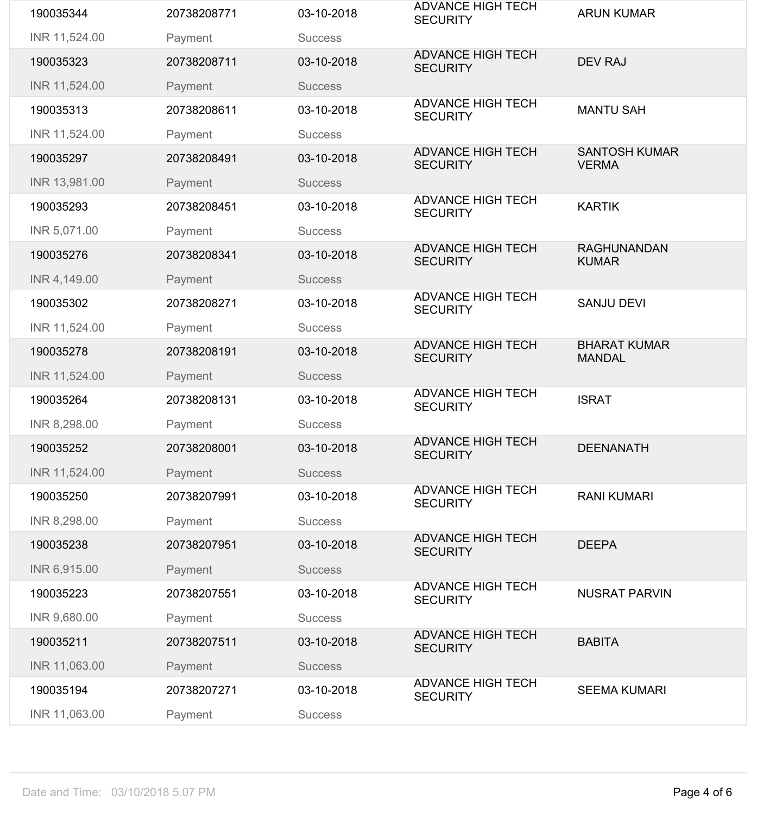| 190035344     | 20738208771 | 03-10-2018     | <b>ADVANCE HIGH TECH</b><br><b>SECURITY</b> | <b>ARUN KUMAR</b>                    |
|---------------|-------------|----------------|---------------------------------------------|--------------------------------------|
| INR 11,524.00 | Payment     | <b>Success</b> |                                             |                                      |
| 190035323     | 20738208711 | 03-10-2018     | <b>ADVANCE HIGH TECH</b><br><b>SECURITY</b> | <b>DEV RAJ</b>                       |
| INR 11,524.00 | Payment     | <b>Success</b> |                                             |                                      |
| 190035313     | 20738208611 | 03-10-2018     | <b>ADVANCE HIGH TECH</b><br><b>SECURITY</b> | <b>MANTU SAH</b>                     |
| INR 11,524.00 | Payment     | <b>Success</b> |                                             |                                      |
| 190035297     | 20738208491 | 03-10-2018     | <b>ADVANCE HIGH TECH</b><br><b>SECURITY</b> | <b>SANTOSH KUMAR</b><br><b>VERMA</b> |
| INR 13,981.00 | Payment     | <b>Success</b> |                                             |                                      |
| 190035293     | 20738208451 | 03-10-2018     | <b>ADVANCE HIGH TECH</b><br><b>SECURITY</b> | <b>KARTIK</b>                        |
| INR 5,071.00  | Payment     | <b>Success</b> |                                             |                                      |
| 190035276     | 20738208341 | 03-10-2018     | <b>ADVANCE HIGH TECH</b><br><b>SECURITY</b> | <b>RAGHUNANDAN</b><br><b>KUMAR</b>   |
| INR 4,149.00  | Payment     | <b>Success</b> |                                             |                                      |
| 190035302     | 20738208271 | 03-10-2018     | <b>ADVANCE HIGH TECH</b><br><b>SECURITY</b> | <b>SANJU DEVI</b>                    |
| INR 11,524.00 | Payment     | <b>Success</b> |                                             |                                      |
| 190035278     | 20738208191 | 03-10-2018     | <b>ADVANCE HIGH TECH</b><br><b>SECURITY</b> | <b>BHARAT KUMAR</b><br><b>MANDAL</b> |
| INR 11,524.00 | Payment     | <b>Success</b> |                                             |                                      |
| 190035264     | 20738208131 | 03-10-2018     | <b>ADVANCE HIGH TECH</b><br><b>SECURITY</b> | <b>ISRAT</b>                         |
| INR 8,298.00  | Payment     | <b>Success</b> |                                             |                                      |
| 190035252     | 20738208001 | 03-10-2018     | <b>ADVANCE HIGH TECH</b><br><b>SECURITY</b> | <b>DEENANATH</b>                     |
| INR 11,524.00 | Payment     | <b>Success</b> |                                             |                                      |
| 190035250     | 20738207991 | 03-10-2018     | <b>ADVANCE HIGH TECH</b><br><b>SECURITY</b> | <b>RANI KUMARI</b>                   |
| INR 8,298.00  | Payment     | <b>Success</b> |                                             |                                      |
| 190035238     | 20738207951 | 03-10-2018     | <b>ADVANCE HIGH TECH</b><br><b>SECURITY</b> | <b>DEEPA</b>                         |
| INR 6,915.00  | Payment     | <b>Success</b> |                                             |                                      |
| 190035223     | 20738207551 | 03-10-2018     | <b>ADVANCE HIGH TECH</b><br><b>SECURITY</b> | <b>NUSRAT PARVIN</b>                 |
| INR 9,680.00  | Payment     | <b>Success</b> |                                             |                                      |
| 190035211     | 20738207511 | 03-10-2018     | <b>ADVANCE HIGH TECH</b><br><b>SECURITY</b> | <b>BABITA</b>                        |
| INR 11,063.00 | Payment     | <b>Success</b> |                                             |                                      |
| 190035194     | 20738207271 | 03-10-2018     | <b>ADVANCE HIGH TECH</b><br><b>SECURITY</b> | <b>SEEMA KUMARI</b>                  |
| INR 11,063.00 | Payment     | <b>Success</b> |                                             |                                      |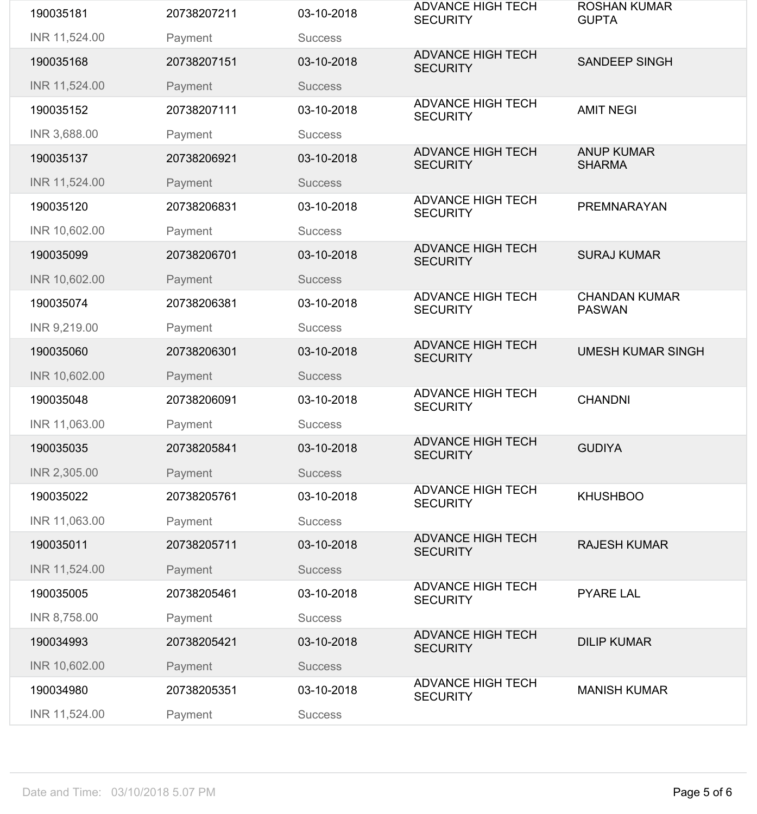| 190035181     | 20738207211 | 03-10-2018     | <b>ADVANCE HIGH TECH</b><br><b>SECURITY</b> | <b>ROSHAN KUMAR</b><br><b>GUPTA</b>   |
|---------------|-------------|----------------|---------------------------------------------|---------------------------------------|
| INR 11,524.00 | Payment     | <b>Success</b> |                                             |                                       |
| 190035168     | 20738207151 | 03-10-2018     | <b>ADVANCE HIGH TECH</b><br><b>SECURITY</b> | <b>SANDEEP SINGH</b>                  |
| INR 11,524.00 | Payment     | <b>Success</b> |                                             |                                       |
| 190035152     | 20738207111 | 03-10-2018     | <b>ADVANCE HIGH TECH</b><br><b>SECURITY</b> | <b>AMIT NEGI</b>                      |
| INR 3,688.00  | Payment     | <b>Success</b> |                                             |                                       |
| 190035137     | 20738206921 | 03-10-2018     | <b>ADVANCE HIGH TECH</b><br><b>SECURITY</b> | <b>ANUP KUMAR</b><br><b>SHARMA</b>    |
| INR 11,524.00 | Payment     | <b>Success</b> |                                             |                                       |
| 190035120     | 20738206831 | 03-10-2018     | <b>ADVANCE HIGH TECH</b><br><b>SECURITY</b> | <b>PREMNARAYAN</b>                    |
| INR 10,602.00 | Payment     | <b>Success</b> |                                             |                                       |
| 190035099     | 20738206701 | 03-10-2018     | <b>ADVANCE HIGH TECH</b><br><b>SECURITY</b> | <b>SURAJ KUMAR</b>                    |
| INR 10,602.00 | Payment     | <b>Success</b> |                                             |                                       |
| 190035074     | 20738206381 | 03-10-2018     | <b>ADVANCE HIGH TECH</b><br><b>SECURITY</b> | <b>CHANDAN KUMAR</b><br><b>PASWAN</b> |
| INR 9,219.00  | Payment     | <b>Success</b> |                                             |                                       |
| 190035060     | 20738206301 | 03-10-2018     | <b>ADVANCE HIGH TECH</b><br><b>SECURITY</b> | <b>UMESH KUMAR SINGH</b>              |
| INR 10,602.00 | Payment     | <b>Success</b> |                                             |                                       |
| 190035048     | 20738206091 | 03-10-2018     | <b>ADVANCE HIGH TECH</b><br><b>SECURITY</b> | <b>CHANDNI</b>                        |
| INR 11,063.00 | Payment     | <b>Success</b> |                                             |                                       |
| 190035035     | 20738205841 | 03-10-2018     | <b>ADVANCE HIGH TECH</b><br><b>SECURITY</b> | <b>GUDIYA</b>                         |
| INR 2,305.00  | Payment     | <b>Success</b> |                                             |                                       |
| 190035022     | 20738205761 | 03-10-2018     | <b>ADVANCE HIGH TECH</b><br><b>SECURITY</b> | <b>KHUSHBOO</b>                       |
| INR 11,063.00 | Payment     | <b>Success</b> |                                             |                                       |
| 190035011     | 20738205711 | 03-10-2018     | <b>ADVANCE HIGH TECH</b><br><b>SECURITY</b> | <b>RAJESH KUMAR</b>                   |
| INR 11,524.00 | Payment     | <b>Success</b> |                                             |                                       |
| 190035005     | 20738205461 | 03-10-2018     | <b>ADVANCE HIGH TECH</b><br><b>SECURITY</b> | <b>PYARE LAL</b>                      |
| INR 8,758.00  | Payment     | <b>Success</b> |                                             |                                       |
| 190034993     | 20738205421 | 03-10-2018     | <b>ADVANCE HIGH TECH</b><br><b>SECURITY</b> | <b>DILIP KUMAR</b>                    |
| INR 10,602.00 | Payment     | <b>Success</b> |                                             |                                       |
| 190034980     | 20738205351 | 03-10-2018     | <b>ADVANCE HIGH TECH</b><br><b>SECURITY</b> | <b>MANISH KUMAR</b>                   |
| INR 11,524.00 | Payment     | <b>Success</b> |                                             |                                       |